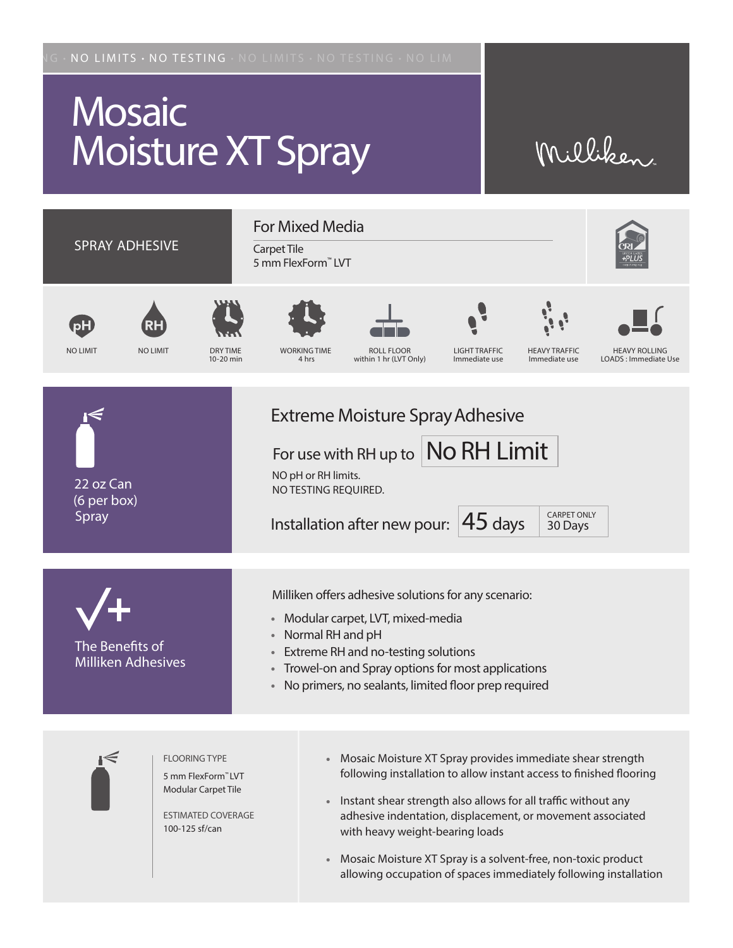## **Mosaic** Moisture XT Spray

## Milliken.

| <b>SPRAY ADHESIVE</b>                        |                                                                                                          | <b>For Mixed Media</b><br>Carpet Tile<br>5 mm FlexForm™ LVT                                                                                                                                                                                                                                                                                     |                                             |                                                                                                                                                                                                                                                                                                                                                                      |                                       |                                       |                                              |
|----------------------------------------------|----------------------------------------------------------------------------------------------------------|-------------------------------------------------------------------------------------------------------------------------------------------------------------------------------------------------------------------------------------------------------------------------------------------------------------------------------------------------|---------------------------------------------|----------------------------------------------------------------------------------------------------------------------------------------------------------------------------------------------------------------------------------------------------------------------------------------------------------------------------------------------------------------------|---------------------------------------|---------------------------------------|----------------------------------------------|
| <b>NO LIMIT</b>                              | <b>NO LIMIT</b><br><b>DRY TIME</b><br>10-20 min                                                          |                                                                                                                                                                                                                                                                                                                                                 | <b>WORKING TIME</b><br>4 hrs                | <b>ROLL FLOOR</b><br>within 1 hr (LVT Only)                                                                                                                                                                                                                                                                                                                          | <b>LIGHT TRAFFIC</b><br>Immediate use | <b>HEAVY TRAFFIC</b><br>Immediate use | <b>HEAVY ROLLING</b><br>LOADS: Immediate Use |
| 22 oz Can<br>(6 per box)<br>Spray            |                                                                                                          |                                                                                                                                                                                                                                                                                                                                                 | NO pH or RH limits.<br>NO TESTING REQUIRED. | <b>Extreme Moisture Spray Adhesive</b><br>For use with RH up to No RH Limit<br>Installation after new pour:                                                                                                                                                                                                                                                          | $45$ days                             | <b>CARPET ONLY</b><br>30 Days         |                                              |
| The Benefits of<br><b>Milliken Adhesives</b> |                                                                                                          | Milliken offers adhesive solutions for any scenario:<br>Modular carpet, LVT, mixed-media<br>$\bullet$<br>Normal RH and pH<br>$\bullet$<br>Extreme RH and no-testing solutions<br>$\bullet$<br>Trowel-on and Spray options for most applications<br>$\qquad \qquad \bullet$<br>No primers, no sealants, limited floor prep required<br>$\bullet$ |                                             |                                                                                                                                                                                                                                                                                                                                                                      |                                       |                                       |                                              |
|                                              | <b>FLOORING TYPE</b><br>5 mm FlexForm"LVT<br>Modular Carpet Tile<br>ESTIMATED COVERAGE<br>100-125 sf/can |                                                                                                                                                                                                                                                                                                                                                 | $\bullet$                                   | Mosaic Moisture XT Spray provides immediate shear strength<br>following installation to allow instant access to finished flooring<br>Instant shear strength also allows for all traffic without any<br>adhesive indentation, displacement, or movement associated<br>with heavy weight-bearing loads<br>Mosaic Moisture YT Spray is a solvent-free non-toxic product |                                       |                                       |                                              |

aic Moisture XT Spray is a solvent-free, non-toxic product allowing occupation of spaces immediately following installation